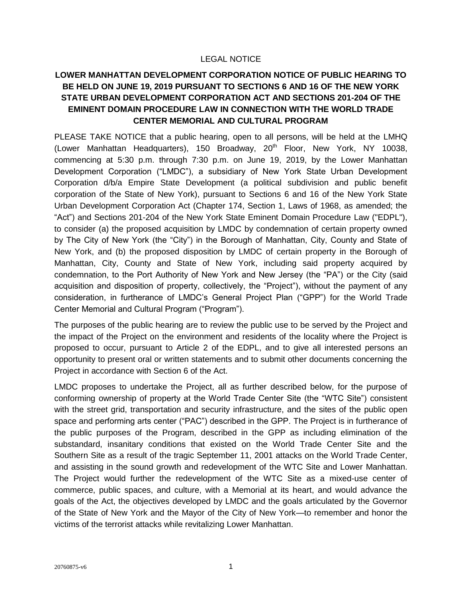## LEGAL NOTICE

## **LOWER MANHATTAN DEVELOPMENT CORPORATION NOTICE OF PUBLIC HEARING TO BE HELD ON JUNE 19, 2019 PURSUANT TO SECTIONS 6 AND 16 OF THE NEW YORK STATE URBAN DEVELOPMENT CORPORATION ACT AND SECTIONS 201-204 OF THE EMINENT DOMAIN PROCEDURE LAW IN CONNECTION WITH THE WORLD TRADE CENTER MEMORIAL AND CULTURAL PROGRAM**

PLEASE TAKE NOTICE that a public hearing, open to all persons, will be held at the LMHQ (Lower Manhattan Headquarters), 150 Broadway,  $20<sup>th</sup>$  Floor, New York, NY 10038, commencing at 5:30 p.m. through 7:30 p.m. on June 19, 2019, by the Lower Manhattan Development Corporation ("LMDC"), a subsidiary of New York State Urban Development Corporation d/b/a Empire State Development (a political subdivision and public benefit corporation of the State of New York), pursuant to Sections 6 and 16 of the New York State Urban Development Corporation Act (Chapter 174, Section 1, Laws of 1968, as amended; the "Act") and Sections 201-204 of the New York State Eminent Domain Procedure Law ("EDPL"), to consider (a) the proposed acquisition by LMDC by condemnation of certain property owned by The City of New York (the "City") in the Borough of Manhattan, City, County and State of New York, and (b) the proposed disposition by LMDC of certain property in the Borough of Manhattan, City, County and State of New York, including said property acquired by condemnation, to the Port Authority of New York and New Jersey (the "PA") or the City (said acquisition and disposition of property, collectively, the "Project"), without the payment of any consideration, in furtherance of LMDC's General Project Plan ("GPP") for the World Trade Center Memorial and Cultural Program ("Program").

The purposes of the public hearing are to review the public use to be served by the Project and the impact of the Project on the environment and residents of the locality where the Project is proposed to occur, pursuant to Article 2 of the EDPL, and to give all interested persons an opportunity to present oral or written statements and to submit other documents concerning the Project in accordance with Section 6 of the Act.

LMDC proposes to undertake the Project, all as further described below, for the purpose of conforming ownership of property at the World Trade Center Site (the "WTC Site") consistent with the street grid, transportation and security infrastructure, and the sites of the public open space and performing arts center ("PAC") described in the GPP. The Project is in furtherance of the public purposes of the Program, described in the GPP as including elimination of the substandard, insanitary conditions that existed on the World Trade Center Site and the Southern Site as a result of the tragic September 11, 2001 attacks on the World Trade Center, and assisting in the sound growth and redevelopment of the WTC Site and Lower Manhattan. The Project would further the redevelopment of the WTC Site as a mixed-use center of commerce, public spaces, and culture, with a Memorial at its heart, and would advance the goals of the Act, the objectives developed by LMDC and the goals articulated by the Governor of the State of New York and the Mayor of the City of New York—to remember and honor the victims of the terrorist attacks while revitalizing Lower Manhattan.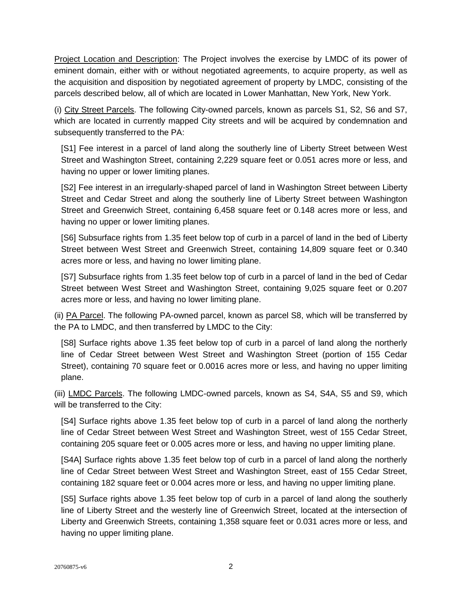Project Location and Description: The Project involves the exercise by LMDC of its power of eminent domain, either with or without negotiated agreements, to acquire property, as well as the acquisition and disposition by negotiated agreement of property by LMDC, consisting of the parcels described below, all of which are located in Lower Manhattan, New York, New York.

(i) City Street Parcels. The following City-owned parcels, known as parcels S1, S2, S6 and S7, which are located in currently mapped City streets and will be acquired by condemnation and subsequently transferred to the PA:

[S1] Fee interest in a parcel of land along the southerly line of Liberty Street between West Street and Washington Street, containing 2,229 square feet or 0.051 acres more or less, and having no upper or lower limiting planes.

[S2] Fee interest in an irregularly-shaped parcel of land in Washington Street between Liberty Street and Cedar Street and along the southerly line of Liberty Street between Washington Street and Greenwich Street, containing 6,458 square feet or 0.148 acres more or less, and having no upper or lower limiting planes.

[S6] Subsurface rights from 1.35 feet below top of curb in a parcel of land in the bed of Liberty Street between West Street and Greenwich Street, containing 14,809 square feet or 0.340 acres more or less, and having no lower limiting plane.

[S7] Subsurface rights from 1.35 feet below top of curb in a parcel of land in the bed of Cedar Street between West Street and Washington Street, containing 9,025 square feet or 0.207 acres more or less, and having no lower limiting plane.

(ii) PA Parcel. The following PA-owned parcel, known as parcel S8, which will be transferred by the PA to LMDC, and then transferred by LMDC to the City:

[S8] Surface rights above 1.35 feet below top of curb in a parcel of land along the northerly line of Cedar Street between West Street and Washington Street (portion of 155 Cedar Street), containing 70 square feet or 0.0016 acres more or less, and having no upper limiting plane.

(iii) LMDC Parcels. The following LMDC-owned parcels, known as S4, S4A, S5 and S9, which will be transferred to the City:

[S4] Surface rights above 1.35 feet below top of curb in a parcel of land along the northerly line of Cedar Street between West Street and Washington Street, west of 155 Cedar Street, containing 205 square feet or 0.005 acres more or less, and having no upper limiting plane.

[S4A] Surface rights above 1.35 feet below top of curb in a parcel of land along the northerly line of Cedar Street between West Street and Washington Street, east of 155 Cedar Street, containing 182 square feet or 0.004 acres more or less, and having no upper limiting plane.

[S5] Surface rights above 1.35 feet below top of curb in a parcel of land along the southerly line of Liberty Street and the westerly line of Greenwich Street, located at the intersection of Liberty and Greenwich Streets, containing 1,358 square feet or 0.031 acres more or less, and having no upper limiting plane.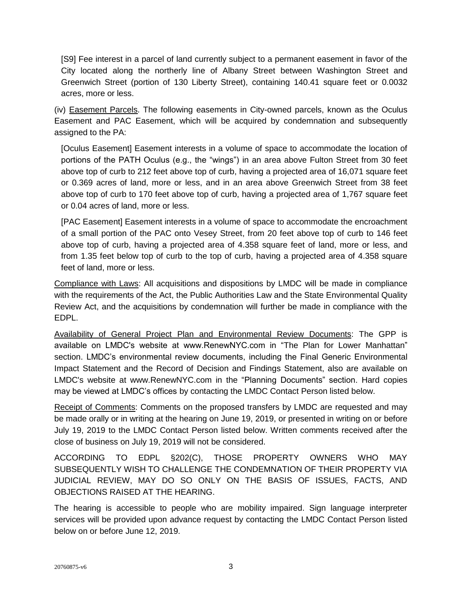[S9] Fee interest in a parcel of land currently subject to a permanent easement in favor of the City located along the northerly line of Albany Street between Washington Street and Greenwich Street (portion of 130 Liberty Street), containing 140.41 square feet or 0.0032 acres, more or less.

(iv) Easement Parcels. The following easements in City-owned parcels, known as the Oculus Easement and PAC Easement, which will be acquired by condemnation and subsequently assigned to the PA:

[Oculus Easement] Easement interests in a volume of space to accommodate the location of portions of the PATH Oculus (e.g., the "wings") in an area above Fulton Street from 30 feet above top of curb to 212 feet above top of curb, having a projected area of 16,071 square feet or 0.369 acres of land, more or less, and in an area above Greenwich Street from 38 feet above top of curb to 170 feet above top of curb, having a projected area of 1,767 square feet or 0.04 acres of land, more or less.

[PAC Easement] Easement interests in a volume of space to accommodate the encroachment of a small portion of the PAC onto Vesey Street, from 20 feet above top of curb to 146 feet above top of curb, having a projected area of 4.358 square feet of land, more or less, and from 1.35 feet below top of curb to the top of curb, having a projected area of 4.358 square feet of land, more or less.

Compliance with Laws: All acquisitions and dispositions by LMDC will be made in compliance with the requirements of the Act, the Public Authorities Law and the State Environmental Quality Review Act, and the acquisitions by condemnation will further be made in compliance with the EDPL.

Availability of General Project Plan and Environmental Review Documents: The GPP is available on LMDC's website at www.RenewNYC.com in "The Plan for Lower Manhattan" section. LMDC's environmental review documents, including the Final Generic Environmental Impact Statement and the Record of Decision and Findings Statement, also are available on LMDC's website at www.RenewNYC.com in the "Planning Documents" section. Hard copies may be viewed at LMDC's offices by contacting the LMDC Contact Person listed below.

Receipt of Comments: Comments on the proposed transfers by LMDC are requested and may be made orally or in writing at the hearing on June 19, 2019, or presented in writing on or before July 19, 2019 to the LMDC Contact Person listed below. Written comments received after the close of business on July 19, 2019 will not be considered.

ACCORDING TO EDPL §202(C), THOSE PROPERTY OWNERS WHO MAY SUBSEQUENTLY WISH TO CHALLENGE THE CONDEMNATION OF THEIR PROPERTY VIA JUDICIAL REVIEW, MAY DO SO ONLY ON THE BASIS OF ISSUES, FACTS, AND OBJECTIONS RAISED AT THE HEARING.

The hearing is accessible to people who are mobility impaired. Sign language interpreter services will be provided upon advance request by contacting the LMDC Contact Person listed below on or before June 12, 2019.